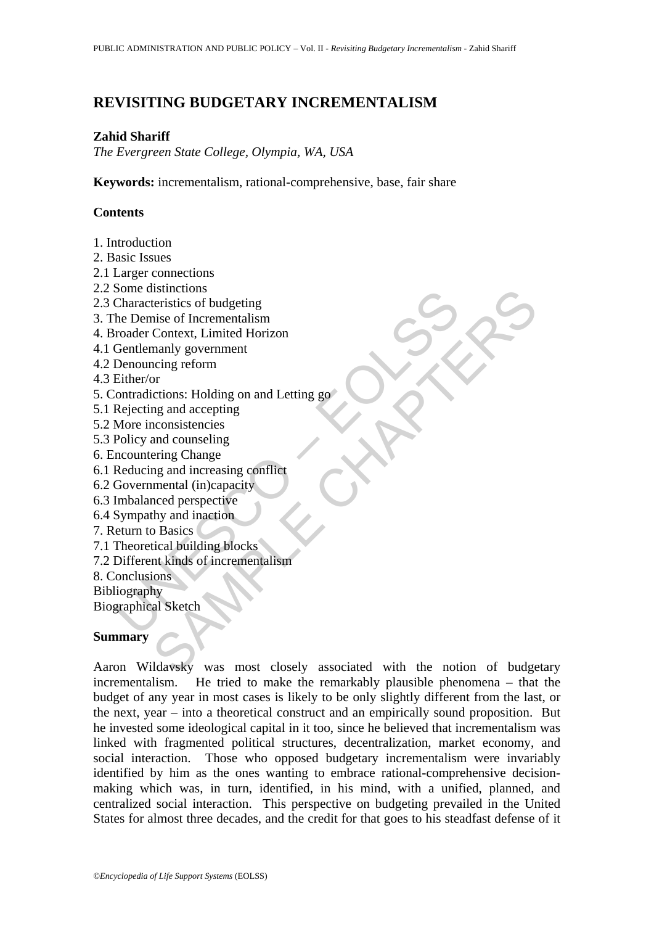# **REVISITING BUDGETARY INCREMENTALISM**

#### **Zahid Shariff**

*The Evergreen State College, Olympia, WA, USA* 

**Keywords:** incrementalism, rational-comprehensive, base, fair share

## **Contents**

- 1. Introduction
- 2. Basic Issues
- 2.1 Larger connections
- 2.2 Some distinctions
- 2.3 Characteristics of budgeting
- 3. The Demise of Incrementalism
- 4. Broader Context, Limited Horizon
- 4.1 Gentlemanly government
- 4.2 Denouncing reform
- 4.3 Either/or
- Some unsulcious<br>Characteristics of budgeting<br>the Demise of Incrementalism<br>roader Context, Limited Horizon<br>Gentlemanly government<br>Denouncing reform<br>tontradictions: Holding on and Letting go<br>Rejecting and accepting<br>More inco 5. Contradictions: Holding on and Letting go
- 5.1 Rejecting and accepting
- 5.2 More inconsistencies
- 5.3 Policy and counseling
- 6. Encountering Change
- 6.1 Reducing and increasing conflict
- 6.2 Governmental (in)capacity
- 6.3 Imbalanced perspective
- 6.4 Sympathy and inaction
- 7. Return to Basics
- 7.1 Theoretical building blocks
- 7.2 Different kinds of incrementalism
- 8. Conclusions
- Bibliography
- Biographical Sketch

## **Summary**

Issuences<br>
Interistics of budgeting<br>
teristics of budgeting<br>
Context, Limited Horizon<br>
Context, Limited Horizon<br>
Incidence<br>
Incidences<br>
Interiors: Holding on and Letting governos<br>
and accounsistencies<br>
and increasing confl Aaron Wildavsky was most closely associated with the notion of budgetary incrementalism. He tried to make the remarkably plausible phenomena – that the budget of any year in most cases is likely to be only slightly different from the last, or the next, year – into a theoretical construct and an empirically sound proposition. But he invested some ideological capital in it too, since he believed that incrementalism was linked with fragmented political structures, decentralization, market economy, and social interaction. Those who opposed budgetary incrementalism were invariably identified by him as the ones wanting to embrace rational-comprehensive decisionmaking which was, in turn, identified, in his mind, with a unified, planned, and centralized social interaction. This perspective on budgeting prevailed in the United States for almost three decades, and the credit for that goes to his steadfast defense of it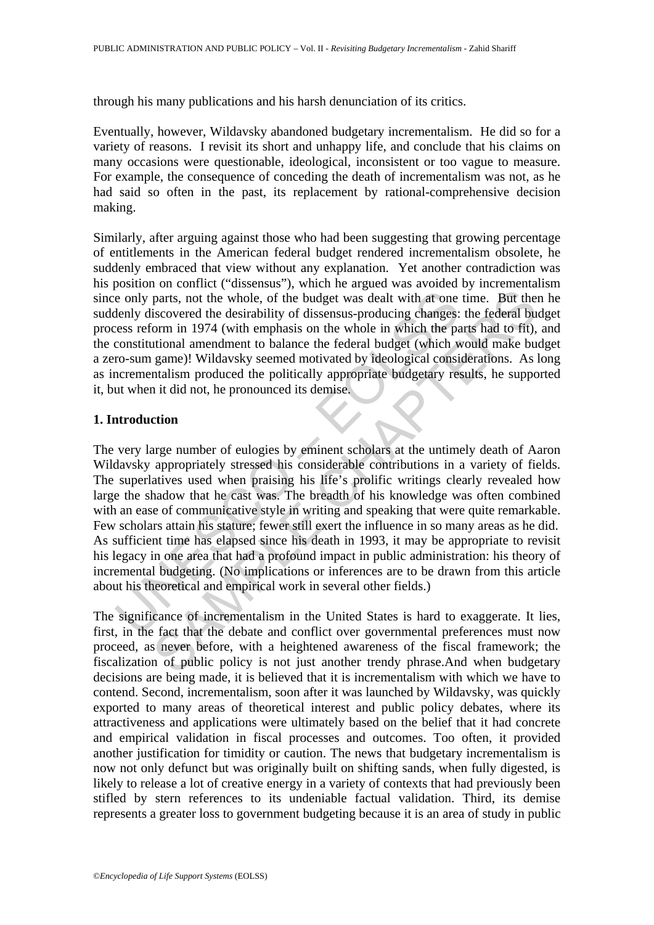through his many publications and his harsh denunciation of its critics.

Eventually, however, Wildavsky abandoned budgetary incrementalism. He did so for a variety of reasons. I revisit its short and unhappy life, and conclude that his claims on many occasions were questionable, ideological, inconsistent or too vague to measure. For example, the consequence of conceding the death of incrementalism was not, as he had said so often in the past, its replacement by rational-comprehensive decision making.

Similarly, after arguing against those who had been suggesting that growing percentage of entitlements in the American federal budget rendered incrementalism obsolete, he suddenly embraced that view without any explanation. Yet another contradiction was his position on conflict ("dissensus"), which he argued was avoided by incrementalism since only parts, not the whole, of the budget was dealt with at one time. But then he suddenly discovered the desirability of dissensus-producing changes: the federal budget process reform in 1974 (with emphasis on the whole in which the parts had to fit), and the constitutional amendment to balance the federal budget (which would make budget a zero-sum game)! Wildavsky seemed motivated by ideological considerations. As long as incrementalism produced the politically appropriate budgetary results, he supported it, but when it did not, he pronounced its demise.

## **1. Introduction**

is en only parts, not the whole, of the budget was dealt with at one<br>denly discovered the desirability of dissensus-producing changes:<br>ress reform in 1974 (with emphasis on the whole in which the pa<br>constitutional amendmen parts, not the whole, of the budget was dealt with at one time. But the isocovered the desirability of dissensus-producing changes: the federal but<br>incovered the desirability of dissensus-producing changes: the federal but The very large number of eulogies by eminent scholars at the untimely death of Aaron Wildavsky appropriately stressed his considerable contributions in a variety of fields. The superlatives used when praising his life's prolific writings clearly revealed how large the shadow that he cast was. The breadth of his knowledge was often combined with an ease of communicative style in writing and speaking that were quite remarkable. Few scholars attain his stature; fewer still exert the influence in so many areas as he did. As sufficient time has elapsed since his death in 1993, it may be appropriate to revisit his legacy in one area that had a profound impact in public administration: his theory of incremental budgeting. (No implications or inferences are to be drawn from this article about his theoretical and empirical work in several other fields.)

The significance of incrementalism in the United States is hard to exaggerate. It lies, first, in the fact that the debate and conflict over governmental preferences must now proceed, as never before, with a heightened awareness of the fiscal framework; the fiscalization of public policy is not just another trendy phrase.And when budgetary decisions are being made, it is believed that it is incrementalism with which we have to contend. Second, incrementalism, soon after it was launched by Wildavsky, was quickly exported to many areas of theoretical interest and public policy debates, where its attractiveness and applications were ultimately based on the belief that it had concrete and empirical validation in fiscal processes and outcomes. Too often, it provided another justification for timidity or caution. The news that budgetary incrementalism is now not only defunct but was originally built on shifting sands, when fully digested, is likely to release a lot of creative energy in a variety of contexts that had previously been stifled by stern references to its undeniable factual validation. Third, its demise represents a greater loss to government budgeting because it is an area of study in public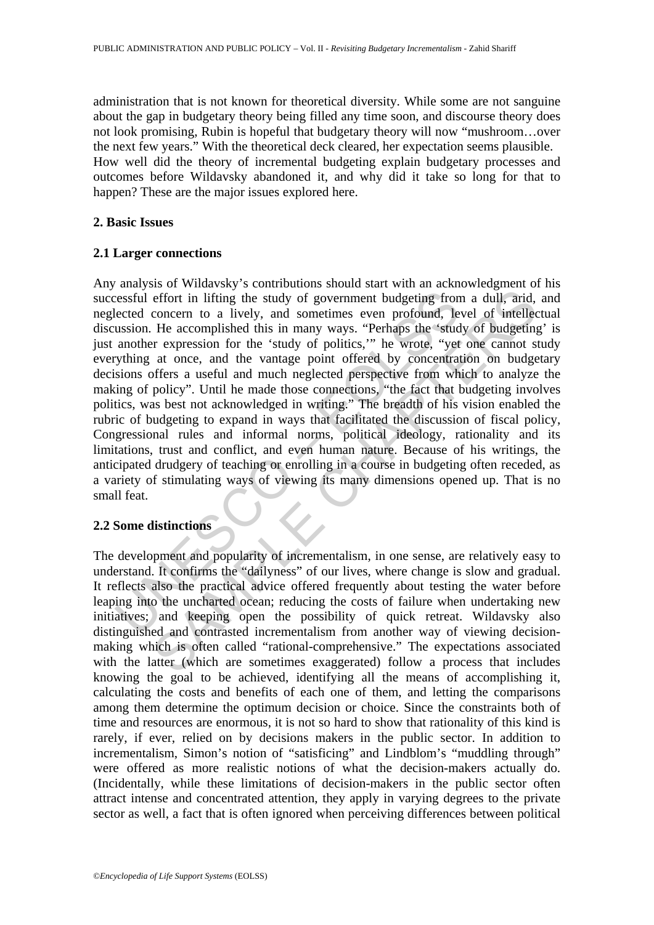administration that is not known for theoretical diversity. While some are not sanguine about the gap in budgetary theory being filled any time soon, and discourse theory does not look promising, Rubin is hopeful that budgetary theory will now "mushroom…over the next few years." With the theoretical deck cleared, her expectation seems plausible. How well did the theory of incremental budgeting explain budgetary processes and outcomes before Wildavsky abandoned it, and why did it take so long for that to happen? These are the major issues explored here.

## **2. Basic Issues**

## **2.1 Larger connections**

ressful effort in lifting the study of government budgeting from<br>ected concern to a lively, and sometimes even profound, le<br>ussion. He accomplished this in many ways. "Perhaps the 'stud<br>another expression for the 'study of effort in lifting the study of government budgeting from a dull, arid, concern to a lively, and sometimes even profound, level of intelled Fe accomplished this in many ways. "Perhaps the 'study of budgeting re argession fo Any analysis of Wildavsky's contributions should start with an acknowledgment of his successful effort in lifting the study of government budgeting from a dull, arid, and neglected concern to a lively, and sometimes even profound, level of intellectual discussion. He accomplished this in many ways. "Perhaps the 'study of budgeting' is just another expression for the 'study of politics,'" he wrote, "yet one cannot study everything at once, and the vantage point offered by concentration on budgetary decisions offers a useful and much neglected perspective from which to analyze the making of policy". Until he made those connections, "the fact that budgeting involves politics, was best not acknowledged in writing." The breadth of his vision enabled the rubric of budgeting to expand in ways that facilitated the discussion of fiscal policy, Congressional rules and informal norms, political ideology, rationality and its limitations, trust and conflict, and even human nature. Because of his writings, the anticipated drudgery of teaching or enrolling in a course in budgeting often receded, as a variety of stimulating ways of viewing its many dimensions opened up. That is no small feat.

## **2.2 Some distinctions**

The development and popularity of incrementalism, in one sense, are relatively easy to understand. It confirms the "dailyness" of our lives, where change is slow and gradual. It reflects also the practical advice offered frequently about testing the water before leaping into the uncharted ocean; reducing the costs of failure when undertaking new initiatives; and keeping open the possibility of quick retreat. Wildavsky also distinguished and contrasted incrementalism from another way of viewing decisionmaking which is often called "rational-comprehensive." The expectations associated with the latter (which are sometimes exaggerated) follow a process that includes knowing the goal to be achieved, identifying all the means of accomplishing it, calculating the costs and benefits of each one of them, and letting the comparisons among them determine the optimum decision or choice. Since the constraints both of time and resources are enormous, it is not so hard to show that rationality of this kind is rarely, if ever, relied on by decisions makers in the public sector. In addition to incrementalism, Simon's notion of "satisficing" and Lindblom's "muddling through" were offered as more realistic notions of what the decision-makers actually do. (Incidentally, while these limitations of decision-makers in the public sector often attract intense and concentrated attention, they apply in varying degrees to the private sector as well, a fact that is often ignored when perceiving differences between political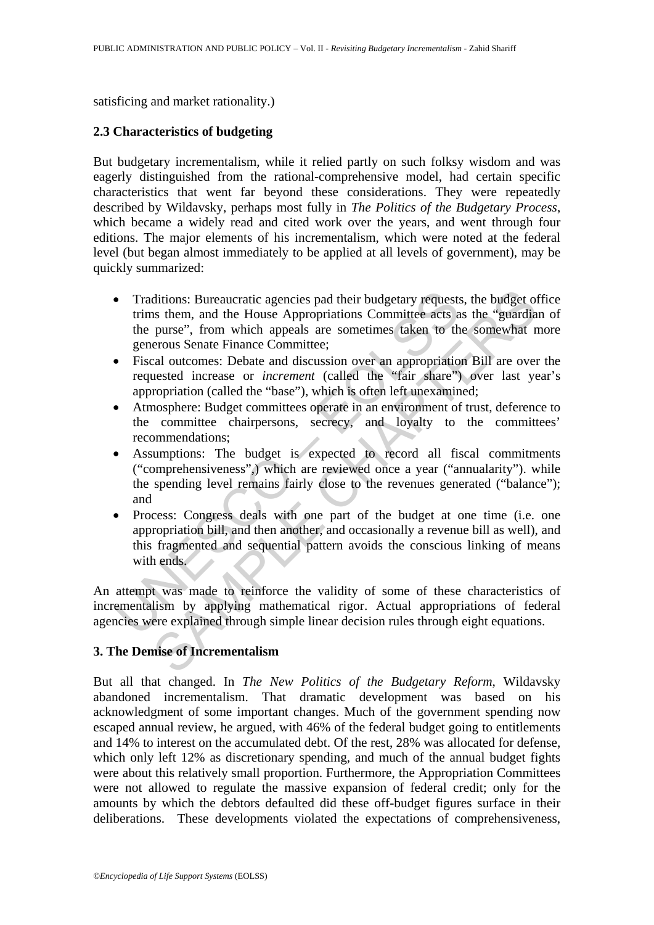satisficing and market rationality.)

## **2.3 Characteristics of budgeting**

But budgetary incrementalism, while it relied partly on such folksy wisdom and was eagerly distinguished from the rational-comprehensive model, had certain specific characteristics that went far beyond these considerations. They were repeatedly described by Wildavsky, perhaps most fully in *The Politics of the Budgetary Process*, which became a widely read and cited work over the years, and went through four editions. The major elements of his incrementalism, which were noted at the federal level (but began almost immediately to be applied at all levels of government), may be quickly summarized:

- Traditions: Bureaucratic agencies pad their budgetary requests<br>trims them, and the House Appropriations Committee acts a<br>the purse", from which appeals are sometimes taken to the<br>generous Senate Finance Committee;<br>Fiscal o ditions: Bureaucratic agencies pad their budgetary requests, the budget of<br>s them, and the House Appropriations Committee acts as the "guardia<br>pures", from which appeals are sometimes taken to the somewhat n<br>pures", from w • Traditions: Bureaucratic agencies pad their budgetary requests, the budget office trims them, and the House Appropriations Committee acts as the "guardian of the purse", from which appeals are sometimes taken to the somewhat more generous Senate Finance Committee;
- Fiscal outcomes: Debate and discussion over an appropriation Bill are over the requested increase or *increment* (called the "fair share") over last year's appropriation (called the "base"), which is often left unexamined;
- Atmosphere: Budget committees operate in an environment of trust, deference to the committee chairpersons, secrecy, and loyalty to the committees' recommendations;
- Assumptions: The budget is expected to record all fiscal commitments ("comprehensiveness",) which are reviewed once a year ("annualarity"). while the spending level remains fairly close to the revenues generated ("balance"); and
- Process: Congress deals with one part of the budget at one time (i.e. one appropriation bill, and then another, and occasionally a revenue bill as well), and this fragmented and sequential pattern avoids the conscious linking of means with ends.

An attempt was made to reinforce the validity of some of these characteristics of incrementalism by applying mathematical rigor. Actual appropriations of federal agencies were explained through simple linear decision rules through eight equations.

## **3. The Demise of Incrementalism**

But all that changed. In *The New Politics of the Budgetary Reform*, Wildavsky abandoned incrementalism. That dramatic development was based on his acknowledgment of some important changes. Much of the government spending now escaped annual review, he argued, with 46% of the federal budget going to entitlements and 14% to interest on the accumulated debt. Of the rest, 28% was allocated for defense, which only left 12% as discretionary spending, and much of the annual budget fights were about this relatively small proportion. Furthermore, the Appropriation Committees were not allowed to regulate the massive expansion of federal credit; only for the amounts by which the debtors defaulted did these off-budget figures surface in their deliberations. These developments violated the expectations of comprehensiveness,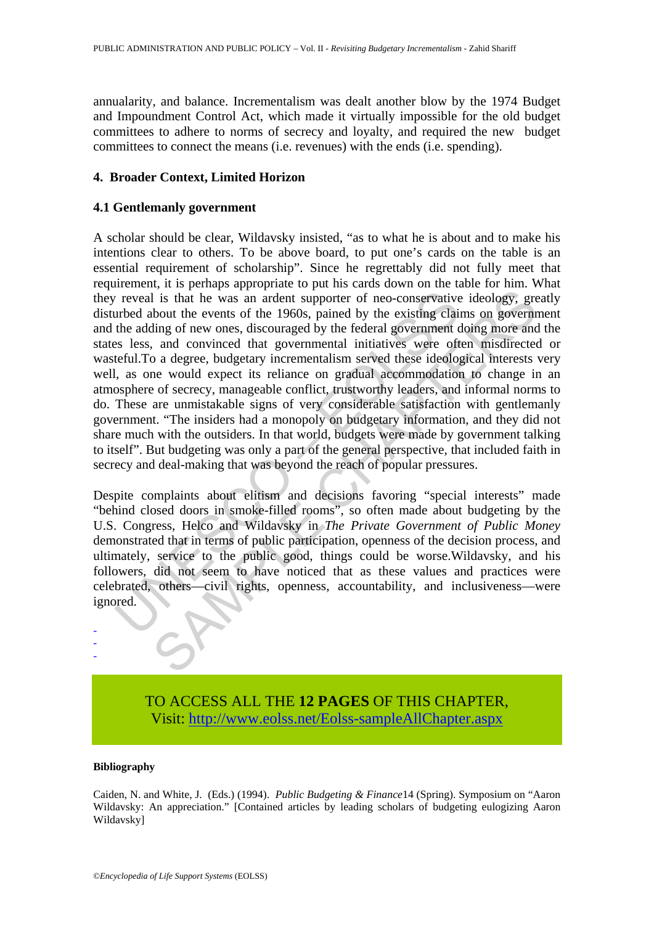annualarity, and balance. Incrementalism was dealt another blow by the 1974 Budget and Impoundment Control Act, which made it virtually impossible for the old budget committees to adhere to norms of secrecy and loyalty, and required the new budget committees to connect the means (i.e. revenues) with the ends (i.e. spending).

## **4. Broader Context, Limited Horizon**

## **4.1 Gentlemanly government**

reveal is that he was an ardent supporter of neo-conservative<br>urbed about the events of the 1960s, pained by the existing claim<br>the adding of new ones, discouraged by the federal government c<br>seles, and convinced that gove is that he was an ardent supporter of neo-conservative ideology, greated is that he was an ardent supporter of neo-conservative ideology, greating of new ones, discouraged by the existing claims on government diag not one A scholar should be clear, Wildavsky insisted, "as to what he is about and to make his intentions clear to others. To be above board, to put one's cards on the table is an essential requirement of scholarship". Since he regrettably did not fully meet that requirement, it is perhaps appropriate to put his cards down on the table for him. What they reveal is that he was an ardent supporter of neo-conservative ideology, greatly disturbed about the events of the 1960s, pained by the existing claims on government and the adding of new ones, discouraged by the federal government doing more and the states less, and convinced that governmental initiatives were often misdirected or wasteful.To a degree, budgetary incrementalism served these ideological interests very well, as one would expect its reliance on gradual accommodation to change in an atmosphere of secrecy, manageable conflict, trustworthy leaders, and informal norms to do. These are unmistakable signs of very considerable satisfaction with gentlemanly government. "The insiders had a monopoly on budgetary information, and they did not share much with the outsiders. In that world, budgets were made by government talking to itself". But budgeting was only a part of the general perspective, that included faith in secrecy and deal-making that was beyond the reach of popular pressures.

Despite complaints about elitism and decisions favoring "special interests" made "behind closed doors in smoke-filled rooms", so often made about budgeting by the U.S. Congress, Helco and Wildavsky in *The Private Government of Public Money*  demonstrated that in terms of public participation, openness of the decision process, and ultimately, service to the public good, things could be worse.Wildavsky, and his followers, did not seem to have noticed that as these values and practices were celebrated, others—civil rights, openness, accountability, and inclusiveness—were ignored.

> TO ACCESS ALL THE **12 PAGES** OF THIS CHAPTER, Visit: [http://www.eolss.net/Eolss-sampleAllChapter.aspx](https://www.eolss.net/ebooklib/sc_cart.aspx?File=E1-34-05-02)

#### **Bibliography**

- - -

Caiden, N. and White, J. (Eds.) (1994). *Public Budgeting & Finance*14 (Spring). Symposium on "Aaron Wildavsky: An appreciation." [Contained articles by leading scholars of budgeting eulogizing Aaron Wildavsky]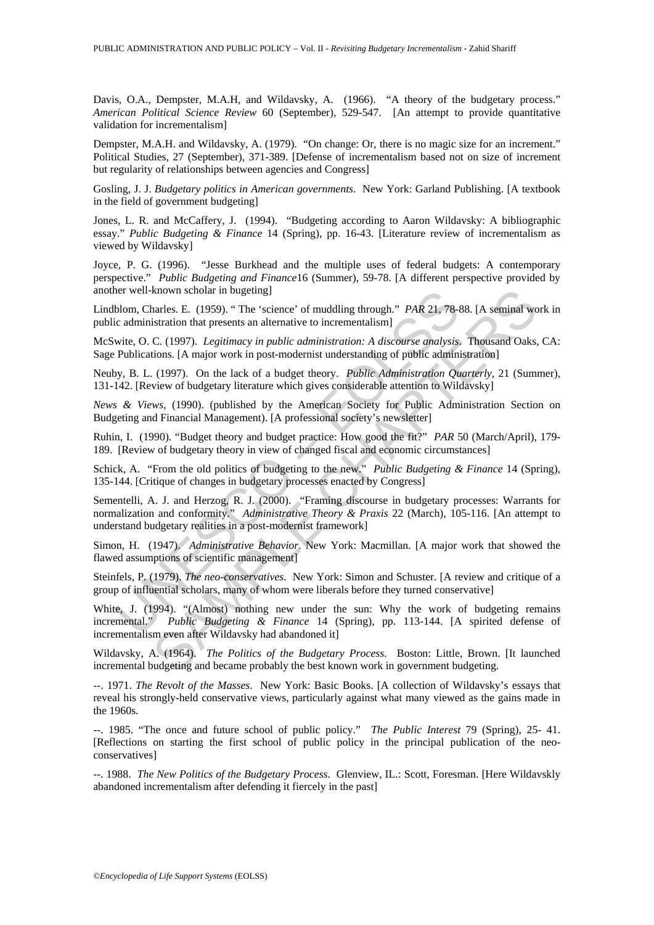Davis, O.A., Dempster, M.A.H, and Wildavsky, A. (1966). "A theory of the budgetary process." *American Political Science Review* 60 (September), 529-547. [An attempt to provide quantitative validation for incrementalism]

Dempster, M.A.H. and Wildavsky, A. (1979). "On change: Or, there is no magic size for an increment." Political Studies, 27 (September), 371-389. [Defense of incrementalism based not on size of increment but regularity of relationships between agencies and Congress]

Gosling, J. J. *Budgetary politics in American governments*. New York: Garland Publishing. [A textbook in the field of government budgeting]

Jones, L. R. and McCaffery, J. (1994). "Budgeting according to Aaron Wildavsky: A bibliographic essay." *Public Budgeting & Finance* 14 (Spring), pp. 16-43. [Literature review of incrementalism as viewed by Wildavsky]

Joyce, P. G. (1996). "Jesse Burkhead and the multiple uses of federal budgets: A contemporary perspective." *Public Budgeting and Finance*16 (Summer), 59-78. [A different perspective provided by another well-known scholar in bugeting]

Lindblom, Charles. E. (1959). " The 'science' of muddling through." *PAR* 21, 78-88. [A seminal work in public administration that presents an alternative to incrementalism]

McSwite, O. C. (1997). *Legitimacy in public administration: A discourse analysis*. Thousand Oaks, CA: Sage Publications. [A major work in post-modernist understanding of public administration]

Neuby, B. L. (1997). On the lack of a budget theory. *Public Administration Quarterly*, 21 (Summer), 131-142. [Review of budgetary literature which gives considerable attention to Wildavsky]

*News & Views*, (1990). (published by the American Society for Public Administration Section on Budgeting and Financial Management). [A professional society's newsletter]

Ruhin, I. (1990). "Budget theory and budget practice: How good the fit?" *PAR* 50 (March/April), 179- 189. [Review of budgetary theory in view of changed fiscal and economic circumstances]

Schick, A. "From the old politics of budgeting to the new." *Public Budgeting & Finance* 14 (Spring), 135-144. [Critique of changes in budgetary processes enacted by Congress]

The well-known scholar in bugeting]<br>
blom, Charles. E. (1959). "The 'science' of muddling through." *PAR 21, 78-1*<br>
tie administration that presents an alternative to incrementalism]<br>
with c. O. C. (1997). Legitimacy in p known scholar in bugeting]<br>
hranes. E. (1959). "The 'science' of muddling through." *PAR* 21, 78-88. [A seminal we<br>
hranes. E. (1997). Legitimacy in public administration: A discourse analysis. Thousand Oaks,<br>
Lestinon th Sementelli, A. J. and Herzog, R. J. (2000). "Framing discourse in budgetary processes: Warrants for normalization and conformity." *Administrative Theory & Praxis* 22 (March), 105-116. [An attempt to understand budgetary realities in a post-modernist framework]

Simon, H. (1947). *Administrative Behavior*. New York: Macmillan. [A major work that showed the flawed assumptions of scientific management]

Steinfels, P. (1979). *The neo-conservatives*. New York: Simon and Schuster. [A review and critique of a group of influential scholars, many of whom were liberals before they turned conservative]

White, J. (1994). "(Almost) nothing new under the sun: Why the work of budgeting remains incremental." *Public Budgeting & Finance* 14 (Spring), pp. 113-144. [A spirited defense of incrementalism even after Wildavsky had abandoned it]

Wildavsky, A. (1964). *The Politics of the Budgetary Process*. Boston: Little, Brown. [It launched incremental budgeting and became probably the best known work in government budgeting.

--. 1971. *The Revolt of the Masses*. New York: Basic Books. [A collection of Wildavsky's essays that reveal his strongly-held conservative views, particularly against what many viewed as the gains made in the 1960s.

--. 1985. "The once and future school of public policy." *The Public Interest* 79 (Spring), 25- 41. [Reflections on starting the first school of public policy in the principal publication of the neoconservatives]

--. 1988. *The New Politics of the Budgetary Process*. Glenview, IL.: Scott, Foresman. [Here Wildavskly abandoned incrementalism after defending it fiercely in the past]